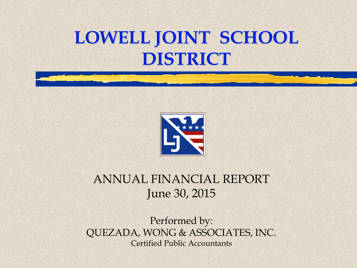### **LOWELL JOINT SCHOOL DISTRICT**



#### ANNUAL FINANCIAL REPORT June 30, 2015

Performed by: QUEZADA, WONG & ASSOCIATES, INC. Certified Public Accountants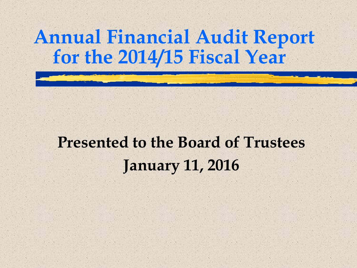#### **Annual Financial Audit Report for the 2014/15 Fiscal Year**

#### **Presented to the Board of Trustees January 11, 2016**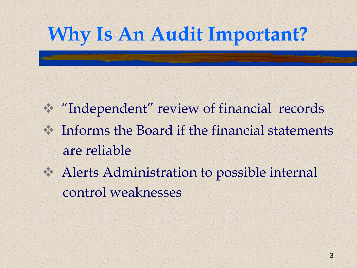## **Why Is An Audit Important?**

 "Independent" review of financial records Informs the Board if the financial statements are reliable

 Alerts Administration to possible internal control weaknesses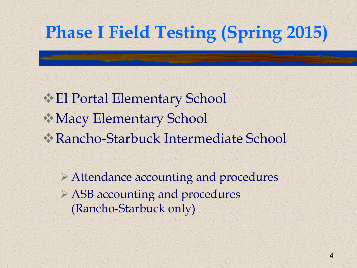### **Phase I Field Testing (Spring 2015)**

El Portal Elementary School Macy Elementary School Rancho-Starbuck Intermediate School

Attendance accounting and procedures ASB accounting and procedures (Rancho-Starbuck only)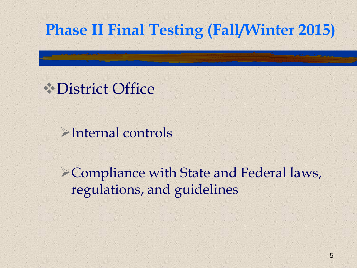#### **Phase II Final Testing (Fall/Winter 2015)**

#### **Explistrict Office**

Internal controls

Compliance with State and Federal laws, regulations, and guidelines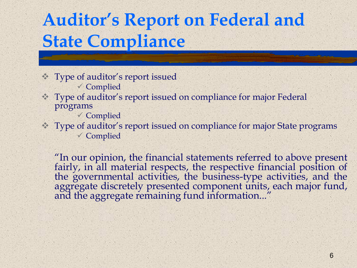### **Auditor's Report on Federal and State Compliance**

- Type of auditor's report issued Complied
- Type of auditor's report issued on compliance for major Federal programs
	- Complied
- Type of auditor's report issued on compliance for major State programs Complied

"In our opinion, the financial statements referred to above present fairly, in all material respects, the respective financial position of the governmental activities, the business-type activities, and the aggregate discretely presented component units, each major fund, and the aggregate remaining fund information..."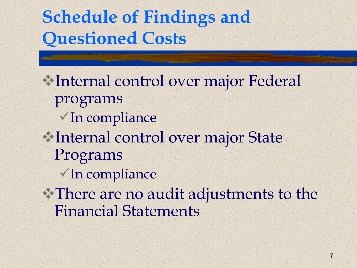### **Schedule of Findings and Questioned Costs**

Internal control over major Federal programs  $\checkmark$  In compliance Internal control over major State Programs In compliance There are no audit adjustments to the Financial Statements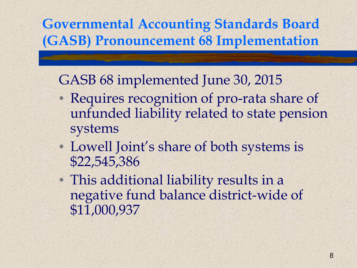#### **Governmental Accounting Standards Board (GASB) Pronouncement 68 Implementation**

GASB 68 implemented June 30, 2015

- Requires recognition of pro-rata share of unfunded liability related to state pension systems
- Lowell Joint's share of both systems is \$22,545,386

• This additional liability results in a negative fund balance district-wide of \$11,000,937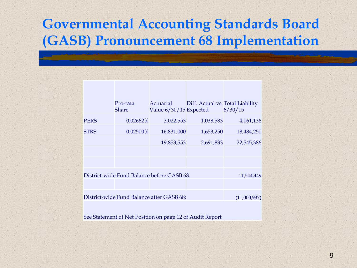#### **Governmental Accounting Standards Board (GASB) Pronouncement 68 Implementation**

|                                            | Pro-rata<br><b>Share</b> | Actuarial<br>Value 6/30/15 Expected | Diff. Actual vs. Total Liability | 6/30/15      |
|--------------------------------------------|--------------------------|-------------------------------------|----------------------------------|--------------|
| PERS                                       | 0.02662%                 | 3,022,553                           | 1,038,583                        | 4,061,136    |
| STRS                                       | 0.02500%                 | 16,831,000                          | 1,653,250                        | 18,484,250   |
|                                            |                          | 19,853,553                          | 2,691,833                        | 22,545,386   |
|                                            |                          |                                     |                                  |              |
|                                            |                          |                                     |                                  |              |
| District-wide Fund Balance before GASB 68: |                          |                                     |                                  | 11,544,449   |
|                                            |                          |                                     |                                  |              |
| District-wide Fund Balance after GASB 68:  |                          |                                     |                                  | (11,000,937) |
|                                            |                          |                                     |                                  |              |

See Statement of Net Position on page 12 of Audit Report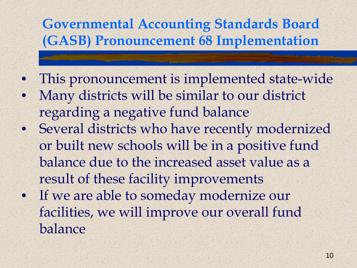#### **Governmental Accounting Standards Board (GASB) Pronouncement 68 Implementation**

• This pronouncement is implemented state-wide • Many districts will be similar to our district regarding a negative fund balance • Several districts who have recently modernized or built new schools will be in a positive fund balance due to the increased asset value as a result of these facility improvements • If we are able to someday modernize our facilities, we will improve our overall fund balance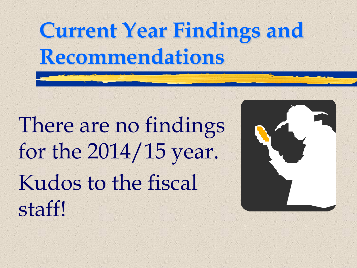# **Current Year Findings and Recommendations**

There are no findings for the 2014/15 year. Kudos to the fiscal staff!

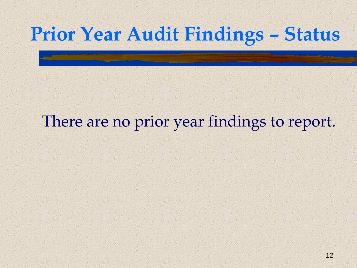### **Prior Year Audit Findings – Status**

#### There are no prior year findings to report.